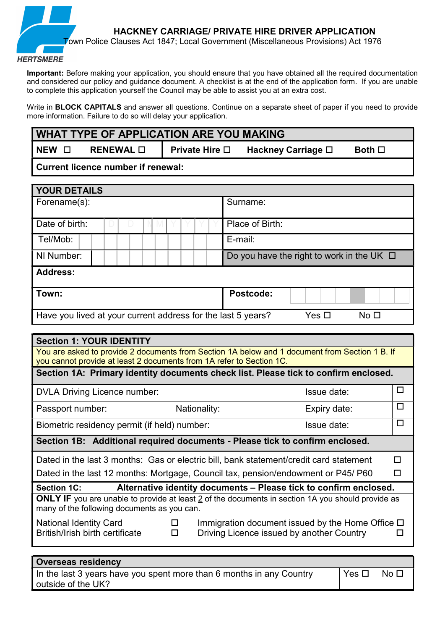

Important: Before making your application, you should ensure that you have obtained all the required documentation and considered our policy and guidance document. A checklist is at the end of the application form. If you are unable to complete this application yourself the Council may be able to assist you at an extra cost.

Write in **BLOCK CAPITALS** and answer all questions. Continue on a separate sheet of paper if you need to provide more information. Failure to do so will delay your application.

| <b>WHAT TYPE OF APPLICATION ARE YOU MAKING</b>                                                                                                                                           |                                                                                                                                    |  |  |  |  |              |                       |              |                 |                                                                                                |  |                 |        |
|------------------------------------------------------------------------------------------------------------------------------------------------------------------------------------------|------------------------------------------------------------------------------------------------------------------------------------|--|--|--|--|--------------|-----------------------|--------------|-----------------|------------------------------------------------------------------------------------------------|--|-----------------|--------|
| NEW O                                                                                                                                                                                    | RENEWAL O                                                                                                                          |  |  |  |  |              | <b>Private Hire</b> □ |              |                 | Hackney Carriage □                                                                             |  | Both $\square$  |        |
|                                                                                                                                                                                          | <b>Current licence number if renewal:</b>                                                                                          |  |  |  |  |              |                       |              |                 |                                                                                                |  |                 |        |
| <b>YOUR DETAILS</b>                                                                                                                                                                      |                                                                                                                                    |  |  |  |  |              |                       |              |                 |                                                                                                |  |                 |        |
| Forename(s):                                                                                                                                                                             |                                                                                                                                    |  |  |  |  |              |                       | Surname:     |                 |                                                                                                |  |                 |        |
| Date of birth:                                                                                                                                                                           |                                                                                                                                    |  |  |  |  |              |                       |              | Place of Birth: |                                                                                                |  |                 |        |
| Tel/Mob:                                                                                                                                                                                 |                                                                                                                                    |  |  |  |  |              |                       | E-mail:      |                 |                                                                                                |  |                 |        |
| NI Number:                                                                                                                                                                               |                                                                                                                                    |  |  |  |  |              |                       |              |                 | Do you have the right to work in the UK $\Box$                                                 |  |                 |        |
| <b>Address:</b>                                                                                                                                                                          |                                                                                                                                    |  |  |  |  |              |                       |              |                 |                                                                                                |  |                 |        |
| Town:                                                                                                                                                                                    |                                                                                                                                    |  |  |  |  |              |                       |              | Postcode:       |                                                                                                |  |                 |        |
| Have you lived at your current address for the last 5 years?                                                                                                                             |                                                                                                                                    |  |  |  |  |              |                       |              |                 | Yes $\square$                                                                                  |  | No <sub>1</sub> |        |
|                                                                                                                                                                                          |                                                                                                                                    |  |  |  |  |              |                       |              |                 |                                                                                                |  |                 |        |
| <b>Section 1: YOUR IDENTITY</b>                                                                                                                                                          |                                                                                                                                    |  |  |  |  |              |                       |              |                 |                                                                                                |  |                 |        |
| you cannot provide at least 2 documents from 1A refer to Section 1C.                                                                                                                     |                                                                                                                                    |  |  |  |  |              |                       |              |                 | You are asked to provide 2 documents from Section 1A below and 1 document from Section 1 B. If |  |                 |        |
| Section 1A: Primary identity documents check list. Please tick to confirm enclosed.                                                                                                      |                                                                                                                                    |  |  |  |  |              |                       |              |                 |                                                                                                |  |                 |        |
| <b>DVLA Driving Licence number:</b>                                                                                                                                                      |                                                                                                                                    |  |  |  |  |              |                       | Issue date:  |                 |                                                                                                |  | $\Box$          |        |
| Passport number:                                                                                                                                                                         |                                                                                                                                    |  |  |  |  | Nationality: |                       | Expiry date: |                 |                                                                                                |  |                 | $\Box$ |
| Biometric residency permit (if held) number:                                                                                                                                             |                                                                                                                                    |  |  |  |  |              |                       | Issue date:  |                 |                                                                                                |  | $\Box$          |        |
|                                                                                                                                                                                          |                                                                                                                                    |  |  |  |  |              |                       |              |                 | Section 1B: Additional required documents - Please tick to confirm enclosed.                   |  |                 |        |
| Dated in the last 3 months: Gas or electric bill, bank statement/credit card statement                                                                                                   |                                                                                                                                    |  |  |  |  |              |                       |              |                 |                                                                                                |  |                 |        |
|                                                                                                                                                                                          | Dated in the last 12 months: Mortgage, Council tax, pension/endowment or P45/P60<br>П                                              |  |  |  |  |              |                       |              |                 |                                                                                                |  |                 |        |
| <b>Section 1C:</b>                                                                                                                                                                       |                                                                                                                                    |  |  |  |  |              |                       |              |                 | Alternative identity documents - Please tick to confirm enclosed.                              |  |                 |        |
| <b>ONLY IF</b> you are unable to provide at least 2 of the documents in section 1A you should provide as<br>many of the following documents as you can.                                  |                                                                                                                                    |  |  |  |  |              |                       |              |                 |                                                                                                |  |                 |        |
| Immigration document issued by the Home Office $\square$<br><b>National Identity Card</b><br>ப<br>British/Irish birth certificate<br>Driving Licence issued by another Country<br>□<br>ப |                                                                                                                                    |  |  |  |  |              |                       |              |                 |                                                                                                |  |                 |        |
|                                                                                                                                                                                          |                                                                                                                                    |  |  |  |  |              |                       |              |                 |                                                                                                |  |                 |        |
|                                                                                                                                                                                          | <b>Overseas residency</b><br>In the last 3 years have you spent more than 6 months in any Country<br>Yes $\square$<br>No $\square$ |  |  |  |  |              |                       |              |                 |                                                                                                |  |                 |        |

outside of the UK?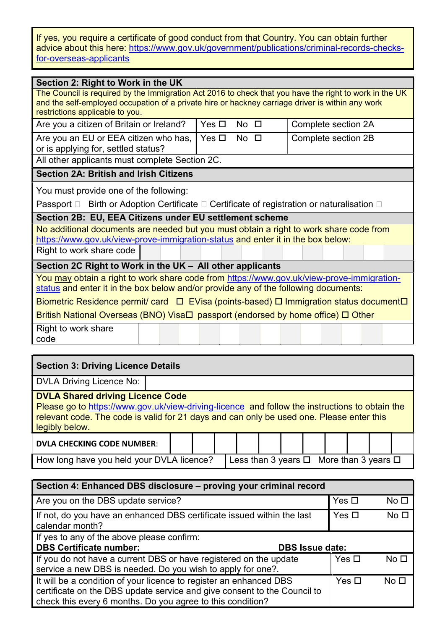If yes, you require a certificate of good conduct from that Country. You can obtain further advice about this here: https://www.gov.uk/government/publications/criminal-records-checksfor-overseas-applicants

| Section 2: Right to Work in the UK<br>The Council is required by the Immigration Act 2016 to check that you have the right to work in the UK<br>and the self-employed occupation of a private hire or hackney carriage driver is within any work<br>restrictions applicable to you. |  |  |  |  |  |  |  |
|-------------------------------------------------------------------------------------------------------------------------------------------------------------------------------------------------------------------------------------------------------------------------------------|--|--|--|--|--|--|--|
| Are you a citizen of Britain or Ireland?<br>Yes $\Box$<br>$No$ $\Box$<br>Complete section 2A                                                                                                                                                                                        |  |  |  |  |  |  |  |
| Yes $\Box$<br>Are you an EU or EEA citizen who has,<br>$No$ $\Box$<br>Complete section 2B<br>or is applying for, settled status?                                                                                                                                                    |  |  |  |  |  |  |  |
| All other applicants must complete Section 2C.                                                                                                                                                                                                                                      |  |  |  |  |  |  |  |
| <b>Section 2A: British and Irish Citizens</b>                                                                                                                                                                                                                                       |  |  |  |  |  |  |  |
| You must provide one of the following:<br>Passport □ Birth or Adoption Certificate □ Certificate of registration or naturalisation □                                                                                                                                                |  |  |  |  |  |  |  |
| Section 2B: EU, EEA Citizens under EU settlement scheme                                                                                                                                                                                                                             |  |  |  |  |  |  |  |
| No additional documents are needed but you must obtain a right to work share code from<br>https://www.gov.uk/view-prove-immigration-status and enter it in the box below:                                                                                                           |  |  |  |  |  |  |  |
| Right to work share code                                                                                                                                                                                                                                                            |  |  |  |  |  |  |  |
| Section 2C Right to Work in the UK - All other applicants                                                                                                                                                                                                                           |  |  |  |  |  |  |  |
| You may obtain a right to work share code from https://www.gov.uk/view-prove-immigration-<br>status and enter it in the box below and/or provide any of the following documents:                                                                                                    |  |  |  |  |  |  |  |
| Biometric Residence permit/ card $\Box$ EVisa (points-based) $\Box$ Immigration status document $\Box$                                                                                                                                                                              |  |  |  |  |  |  |  |
| British National Overseas (BNO) Visa□ passport (endorsed by home office) □ Other                                                                                                                                                                                                    |  |  |  |  |  |  |  |
| Right to work share<br>code                                                                                                                                                                                                                                                         |  |  |  |  |  |  |  |

| <b>Section 3: Driving Licence Details</b>                                                                                                                                                                                                               |  |  |  |  |  |  |  |  |  |  |
|---------------------------------------------------------------------------------------------------------------------------------------------------------------------------------------------------------------------------------------------------------|--|--|--|--|--|--|--|--|--|--|
| DVLA Driving Licence No:                                                                                                                                                                                                                                |  |  |  |  |  |  |  |  |  |  |
| <b>DVLA Shared driving Licence Code</b><br>Please go to https://www.gov.uk/view-driving-licence and follow the instructions to obtain the<br>relevant code. The code is valid for 21 days and can only be used one. Please enter this<br>legibly below. |  |  |  |  |  |  |  |  |  |  |
| <b>DVLA CHECKING CODE NUMBER:</b>                                                                                                                                                                                                                       |  |  |  |  |  |  |  |  |  |  |
| How long have you held your DVLA licence?<br>Less than 3 years $\Box$ More than 3 years $\Box$                                                                                                                                                          |  |  |  |  |  |  |  |  |  |  |

| Section 4: Enhanced DBS disclosure - proving your criminal record                                                                                                                                            |               |                 |  |  |  |  |  |
|--------------------------------------------------------------------------------------------------------------------------------------------------------------------------------------------------------------|---------------|-----------------|--|--|--|--|--|
| Are you on the DBS update service?                                                                                                                                                                           | Yes $\square$ | No <sub>1</sub> |  |  |  |  |  |
| If not, do you have an enhanced DBS certificate issued within the last<br>calendar month?                                                                                                                    | Yes $\Box$    | No <sub>1</sub> |  |  |  |  |  |
| If yes to any of the above please confirm:                                                                                                                                                                   |               |                 |  |  |  |  |  |
| <b>DBS Certificate number:</b><br><b>DBS Issue date:</b>                                                                                                                                                     |               |                 |  |  |  |  |  |
| If you do not have a current DBS or have registered on the update<br>service a new DBS is needed. Do you wish to apply for one?.                                                                             | $Yes \Box$    | No <sub>1</sub> |  |  |  |  |  |
| It will be a condition of your licence to register an enhanced DBS<br>certificate on the DBS update service and give consent to the Council to<br>check this every 6 months. Do you agree to this condition? | Yes $\square$ | No $\square$    |  |  |  |  |  |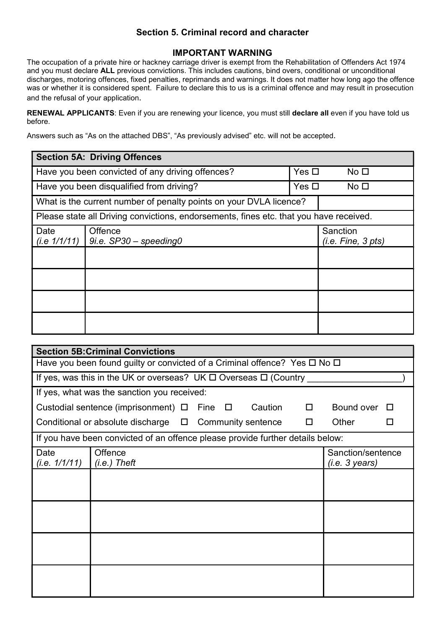# Section 5. Criminal record and character

# IMPORTANT WARNING

The occupation of a private hire or hackney carriage driver is exempt from the Rehabilitation of Offenders Act 1974 and you must declare ALL previous convictions. This includes cautions, bind overs, conditional or unconditional discharges, motoring offences, fixed penalties, reprimands and warnings. It does not matter how long ago the offence was or whether it is considered spent. Failure to declare this to us is a criminal offence and may result in prosecution and the refusal of your application.

RENEWAL APPLICANTS: Even if you are renewing your licence, you must still declare all even if you have told us before.

Answers such as "As on the attached DBS", "As previously advised" etc. will not be accepted.

| <b>Section 5A: Driving Offences</b>                                               |                                                                                        |                                    |  |  |  |  |  |
|-----------------------------------------------------------------------------------|----------------------------------------------------------------------------------------|------------------------------------|--|--|--|--|--|
| Have you been convicted of any driving offences?<br>Yes $\Box$<br>No <sub>1</sub> |                                                                                        |                                    |  |  |  |  |  |
| Have you been disqualified from driving?<br>Yes $\Box$<br>No <sub>1</sub>         |                                                                                        |                                    |  |  |  |  |  |
|                                                                                   | What is the current number of penalty points on your DVLA licence?                     |                                    |  |  |  |  |  |
|                                                                                   | Please state all Driving convictions, endorsements, fines etc. that you have received. |                                    |  |  |  |  |  |
| Date<br>(i.e. 1/1/11)                                                             | Offence<br>$9i.e.$ SP30 - speeding0                                                    | Sanction<br>$(i.e.$ Fine, $3$ pts) |  |  |  |  |  |
|                                                                                   |                                                                                        |                                    |  |  |  |  |  |
|                                                                                   |                                                                                        |                                    |  |  |  |  |  |
|                                                                                   |                                                                                        |                                    |  |  |  |  |  |
|                                                                                   |                                                                                        |                                    |  |  |  |  |  |

| <b>Section 5B: Criminal Convictions</b> |                                                                                                   |                                     |  |  |  |  |  |  |  |
|-----------------------------------------|---------------------------------------------------------------------------------------------------|-------------------------------------|--|--|--|--|--|--|--|
|                                         | Have you been found guilty or convicted of a Criminal offence? Yes $\Box$ No $\Box$               |                                     |  |  |  |  |  |  |  |
|                                         | If yes, was this in the UK or overseas? UK $\square$ Overseas $\square$ (Country                  |                                     |  |  |  |  |  |  |  |
|                                         | If yes, what was the sanction you received:                                                       |                                     |  |  |  |  |  |  |  |
|                                         | Custodial sentence (imprisonment) $\Box$ Fine $\Box$<br>Bound over<br>Caution<br>$\Box$<br>$\Box$ |                                     |  |  |  |  |  |  |  |
|                                         | Conditional or absolute discharge $\Box$ Community sentence<br>$\Box$                             | Other<br>ΙI                         |  |  |  |  |  |  |  |
|                                         | If you have been convicted of an offence please provide further details below:                    |                                     |  |  |  |  |  |  |  |
| Date<br>(i.e. 1/1/11)                   | Offence<br>$(i.e.)$ Theft                                                                         | Sanction/sentence<br>(i.e. 3 years) |  |  |  |  |  |  |  |
|                                         |                                                                                                   |                                     |  |  |  |  |  |  |  |
|                                         |                                                                                                   |                                     |  |  |  |  |  |  |  |
|                                         |                                                                                                   |                                     |  |  |  |  |  |  |  |
|                                         |                                                                                                   |                                     |  |  |  |  |  |  |  |
|                                         |                                                                                                   |                                     |  |  |  |  |  |  |  |
|                                         |                                                                                                   |                                     |  |  |  |  |  |  |  |
|                                         |                                                                                                   |                                     |  |  |  |  |  |  |  |
|                                         |                                                                                                   |                                     |  |  |  |  |  |  |  |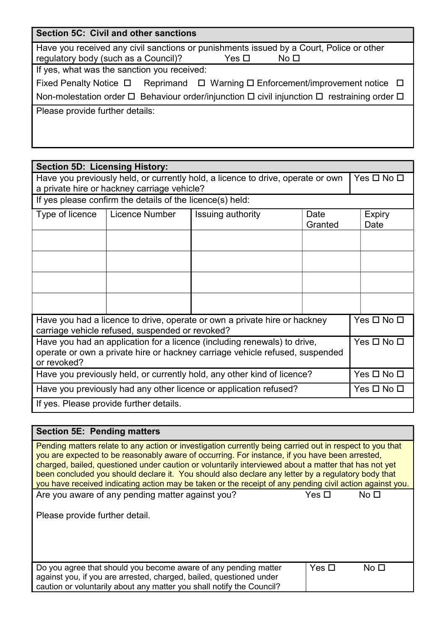| Section 5C: Civil and other sanctions                                                                                                                               |  |  |  |  |  |  |
|---------------------------------------------------------------------------------------------------------------------------------------------------------------------|--|--|--|--|--|--|
| Have you received any civil sanctions or punishments issued by a Court, Police or other<br>regulatory body (such as a Council)?<br>Yes $\square$<br>No <sub>1</sub> |  |  |  |  |  |  |
| If yes, what was the sanction you received:                                                                                                                         |  |  |  |  |  |  |
| Fixed Penalty Notice $\Box$ Reprimand $\Box$ Warning $\Box$ Enforcement/improvement notice $\Box$                                                                   |  |  |  |  |  |  |
| Non-molestation order $\Box$ Behaviour order/injunction $\Box$ civil injunction $\Box$ restraining order $\Box$                                                     |  |  |  |  |  |  |
| Please provide further details:                                                                                                                                     |  |  |  |  |  |  |
|                                                                                                                                                                     |  |  |  |  |  |  |
|                                                                                                                                                                     |  |  |  |  |  |  |

| <b>Section 5D: Licensing History:</b>                                                                                                                                                 |                       |                                      |                    |  |                       |  |  |  |
|---------------------------------------------------------------------------------------------------------------------------------------------------------------------------------------|-----------------------|--------------------------------------|--------------------|--|-----------------------|--|--|--|
| Have you previously held, or currently hold, a licence to drive, operate or own<br>$Yes \Box No \Box$<br>a private hire or hackney carriage vehicle?                                  |                       |                                      |                    |  |                       |  |  |  |
| If yes please confirm the details of the licence(s) held:                                                                                                                             |                       |                                      |                    |  |                       |  |  |  |
| Type of licence                                                                                                                                                                       | <b>Licence Number</b> | Issuing authority<br>Date<br>Granted |                    |  | <b>Expiry</b><br>Date |  |  |  |
|                                                                                                                                                                                       |                       |                                      |                    |  |                       |  |  |  |
|                                                                                                                                                                                       |                       |                                      |                    |  |                       |  |  |  |
|                                                                                                                                                                                       |                       |                                      |                    |  |                       |  |  |  |
|                                                                                                                                                                                       |                       |                                      |                    |  |                       |  |  |  |
| Have you had a licence to drive, operate or own a private hire or hackney<br>carriage vehicle refused, suspended or revoked?                                                          |                       |                                      | $Yes \Box No \Box$ |  |                       |  |  |  |
| Yes □ No □<br>Have you had an application for a licence (including renewals) to drive,<br>operate or own a private hire or hackney carriage vehicle refused, suspended<br>or revoked? |                       |                                      |                    |  |                       |  |  |  |
| Yes □ No □<br>Have you previously held, or currently hold, any other kind of licence?                                                                                                 |                       |                                      |                    |  |                       |  |  |  |
| Have you previously had any other licence or application refused?<br>Yes $\square$ No $\square$                                                                                       |                       |                                      |                    |  |                       |  |  |  |
| If yes. Please provide further details.                                                                                                                                               |                       |                                      |                    |  |                       |  |  |  |

# Section 5E: Pending matters Pending matters relate to any action or investigation currently being carried out in respect to you that you are expected to be reasonably aware of occurring. For instance, if you have been arrested, charged, bailed, questioned under caution or voluntarily interviewed about a matter that has not yet been concluded you should declare it. You should also declare any letter by a regulatory body that you have received indicating action may be taken or the receipt of any pending civil action against you. Are you aware of any pending matter against you?  $Yes \Box$  No  $\square$ Please provide further detail. Do you agree that should you become aware of any pending matter against you, if you are arrested, charged, bailed, questioned under caution or voluntarily about any matter you shall notify the Council? Yes No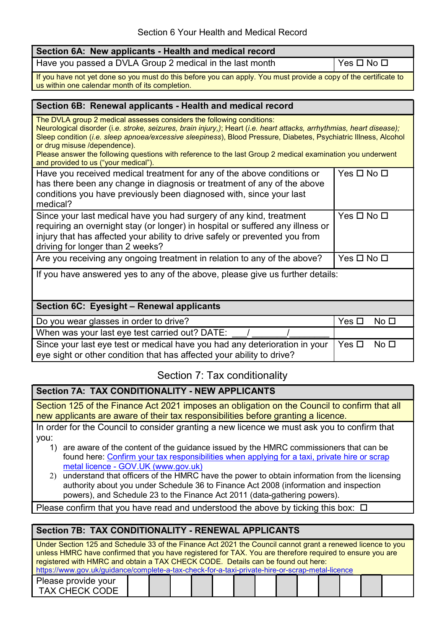| Section 6A: New applicants - Health and medical record                                                                                                                                                                                                                                                                                                                                                                                                                                                   |                                  |  |  |  |  |  |  |
|----------------------------------------------------------------------------------------------------------------------------------------------------------------------------------------------------------------------------------------------------------------------------------------------------------------------------------------------------------------------------------------------------------------------------------------------------------------------------------------------------------|----------------------------------|--|--|--|--|--|--|
| Have you passed a DVLA Group 2 medical in the last month                                                                                                                                                                                                                                                                                                                                                                                                                                                 | Yes □ No □                       |  |  |  |  |  |  |
| If you have not yet done so you must do this before you can apply. You must provide a copy of the certificate to<br>us within one calendar month of its completion.                                                                                                                                                                                                                                                                                                                                      |                                  |  |  |  |  |  |  |
|                                                                                                                                                                                                                                                                                                                                                                                                                                                                                                          |                                  |  |  |  |  |  |  |
| Section 6B: Renewal applicants - Health and medical record                                                                                                                                                                                                                                                                                                                                                                                                                                               |                                  |  |  |  |  |  |  |
| The DVLA group 2 medical assesses considers the following conditions:<br>Neurological disorder (i.e. stroke, seizures, brain injury,); Heart (i.e. heart attacks, arrhythmias, heart disease);<br>Sleep condition (i.e. sleep apnoea/excessive sleepiness), Blood Pressure, Diabetes, Psychiatric Illness, Alcohol<br>or drug misuse /dependence).<br>Please answer the following questions with reference to the last Group 2 medical examination you underwent<br>and provided to us ("your medical"). |                                  |  |  |  |  |  |  |
| Have you received medical treatment for any of the above conditions or<br>has there been any change in diagnosis or treatment of any of the above<br>conditions you have previously been diagnosed with, since your last<br>medical?                                                                                                                                                                                                                                                                     | Yes □ No □                       |  |  |  |  |  |  |
| Since your last medical have you had surgery of any kind, treatment<br>requiring an overnight stay (or longer) in hospital or suffered any illness or<br>injury that has affected your ability to drive safely or prevented you from<br>driving for longer than 2 weeks?                                                                                                                                                                                                                                 | Yes □ No □                       |  |  |  |  |  |  |
| Are you receiving any ongoing treatment in relation to any of the above?                                                                                                                                                                                                                                                                                                                                                                                                                                 | Yes □ No □                       |  |  |  |  |  |  |
| If you have answered yes to any of the above, please give us further details:                                                                                                                                                                                                                                                                                                                                                                                                                            |                                  |  |  |  |  |  |  |
| Section 6C: Eyesight - Renewal applicants                                                                                                                                                                                                                                                                                                                                                                                                                                                                |                                  |  |  |  |  |  |  |
| Do you wear glasses in order to drive?                                                                                                                                                                                                                                                                                                                                                                                                                                                                   | Yes $\square$<br>No <sub>1</sub> |  |  |  |  |  |  |
| When was your last eye test carried out? DATE:                                                                                                                                                                                                                                                                                                                                                                                                                                                           |                                  |  |  |  |  |  |  |
| Since your last eye test or medical have you had any deterioration in your<br>eye sight or other condition that has affected your ability to drive?                                                                                                                                                                                                                                                                                                                                                      | Yes $\square$<br>No <sub>1</sub> |  |  |  |  |  |  |

# Section 7: Tax conditionality

# Section 7A: TAX CONDITIONALITY - NEW APPLICANTS

Section 125 of the Finance Act 2021 imposes an obligation on the Council to confirm that all new applicants are aware of their tax responsibilities before granting a licence.

In order for the Council to consider granting a new licence we must ask you to confirm that you:

- 1) are aware of the content of the guidance issued by the HMRC commissioners that can be found here: Confirm your tax responsibilities when applying for a taxi, private hire or scrap metal licence - GOV.UK (www.gov.uk)
- 2) understand that officers of the HMRC have the power to obtain information from the licensing authority about you under Schedule 36 to Finance Act 2008 (information and inspection powers), and Schedule 23 to the Finance Act 2011 (data-gathering powers).

Please confirm that you have read and understood the above by ticking this box:  $\Box$ 

| <b>Section 7B: TAX CONDITIONALITY - RENEWAL APPLICANTS</b>                                                                                                                                                                                                                                                                                                                                                      |  |  |  |  |  |  |  |  |  |  |  |  |  |
|-----------------------------------------------------------------------------------------------------------------------------------------------------------------------------------------------------------------------------------------------------------------------------------------------------------------------------------------------------------------------------------------------------------------|--|--|--|--|--|--|--|--|--|--|--|--|--|
| Under Section 125 and Schedule 33 of the Finance Act 2021 the Council cannot grant a renewed licence to you<br>unless HMRC have confirmed that you have registered for TAX. You are therefore required to ensure you are<br>registered with HMRC and obtain a TAX CHECK CODE. Details can be found out here:<br>https://www.gov.uk/guidance/complete-a-tax-check-for-a-taxi-private-hire-or-scrap-metal-licence |  |  |  |  |  |  |  |  |  |  |  |  |  |
| Please provide your<br><b>TAX CHECK CODE</b>                                                                                                                                                                                                                                                                                                                                                                    |  |  |  |  |  |  |  |  |  |  |  |  |  |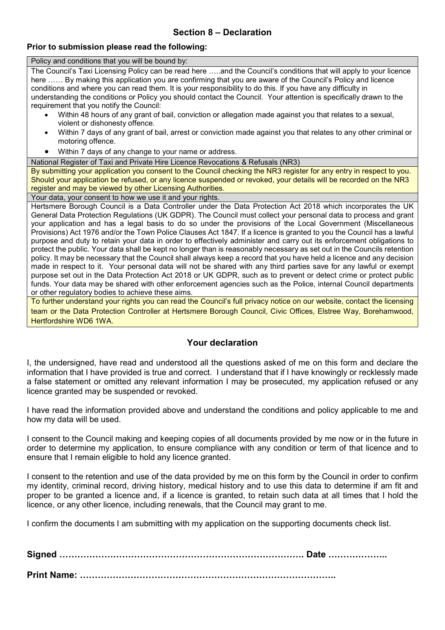# Section 8 – Declaration

#### Prior to submission please read the following:

Policy and conditions that you will be bound by:

The Council's Taxi Licensing Policy can be read here …..and the Council's conditions that will apply to your licence here ...... By making this application you are confirming that you are aware of the Council's Policy and licence conditions and where you can read them. It is your responsibility to do this. If you have any difficulty in understanding the conditions or Policy you should contact the Council. Your attention is specifically drawn to the requirement that you notify the Council:

- Within 48 hours of any grant of bail, conviction or allegation made against you that relates to a sexual, violent or dishonesty offence.
- Within 7 days of any grant of bail, arrest or conviction made against you that relates to any other criminal or motoring offence.
- Within 7 days of any change to your name or address.

National Register of Taxi and Private Hire Licence Revocations & Refusals (NR3)

By submitting your application you consent to the Council checking the NR3 register for any entry in respect to you. Should your application be refused, or any licence suspended or revoked, your details will be recorded on the NR3 register and may be viewed by other Licensing Authorities.

Your data, your consent to how we use it and your rights.

Hertsmere Borough Council is a Data Controller under the Data Protection Act 2018 which incorporates the UK General Data Protection Regulations (UK GDPR). The Council must collect your personal data to process and grant your application and has a legal basis to do so under the provisions of the Local Government (Miscellaneous Provisions) Act 1976 and/or the Town Police Clauses Act 1847. If a licence is granted to you the Council has a lawful purpose and duty to retain your data in order to effectively administer and carry out its enforcement obligations to protect the public. Your data shall be kept no longer than is reasonably necessary as set out in the Councils retention policy. It may be necessary that the Council shall always keep a record that you have held a licence and any decision made in respect to it. Your personal data will not be shared with any third parties save for any lawful or exempt purpose set out in the Data Protection Act 2018 or UK GDPR, such as to prevent or detect crime or protect public funds. Your data may be shared with other enforcement agencies such as the Police, internal Council departments or other regulatory bodies to achieve these aims.

To further understand your rights you can read the Council's full privacy notice on our website, contact the licensing team or the Data Protection Controller at Hertsmere Borough Council, Civic Offices, Elstree Way, Borehamwood, Hertfordshire WD6 1WA.

# Your declaration

I, the undersigned, have read and understood all the questions asked of me on this form and declare the information that I have provided is true and correct. I understand that if I have knowingly or recklessly made a false statement or omitted any relevant information I may be prosecuted, my application refused or any licence granted may be suspended or revoked.

I have read the information provided above and understand the conditions and policy applicable to me and how my data will be used.

I consent to the Council making and keeping copies of all documents provided by me now or in the future in order to determine my application, to ensure compliance with any condition or term of that licence and to ensure that I remain eligible to hold any licence granted.

I consent to the retention and use of the data provided by me on this form by the Council in order to confirm my identity, criminal record, driving history, medical history and to use this data to determine if am fit and proper to be granted a licence and, if a licence is granted, to retain such data at all times that I hold the licence, or any other licence, including renewals, that the Council may grant to me.

I confirm the documents I am submitting with my application on the supporting documents check list.